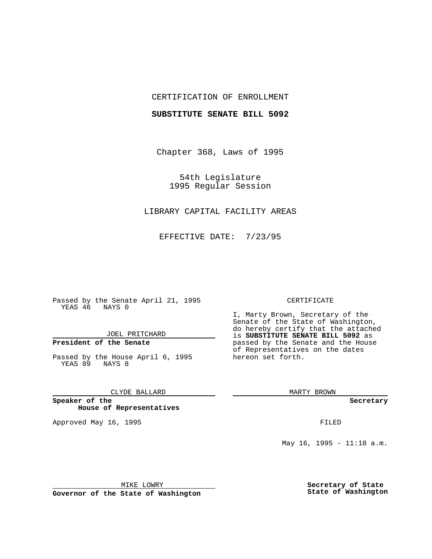## CERTIFICATION OF ENROLLMENT

## **SUBSTITUTE SENATE BILL 5092**

Chapter 368, Laws of 1995

54th Legislature 1995 Regular Session

## LIBRARY CAPITAL FACILITY AREAS

EFFECTIVE DATE: 7/23/95

Passed by the Senate April 21, 1995 YEAS 46 NAYS 0

JOEL PRITCHARD

# **President of the Senate**

Passed by the House April 6, 1995 YEAS 89 NAYS 8

CLYDE BALLARD

**Speaker of the House of Representatives**

Approved May 16, 1995 FILED

#### CERTIFICATE

I, Marty Brown, Secretary of the Senate of the State of Washington, do hereby certify that the attached is **SUBSTITUTE SENATE BILL 5092** as passed by the Senate and the House of Representatives on the dates hereon set forth.

MARTY BROWN

**Secretary**

May 16, 1995 - 11:18 a.m.

MIKE LOWRY

**Governor of the State of Washington**

**Secretary of State State of Washington**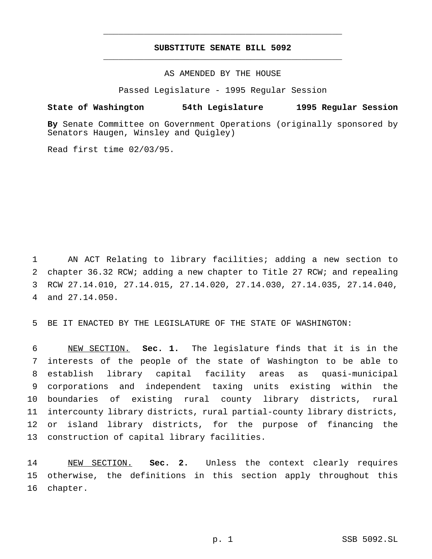# **SUBSTITUTE SENATE BILL 5092** \_\_\_\_\_\_\_\_\_\_\_\_\_\_\_\_\_\_\_\_\_\_\_\_\_\_\_\_\_\_\_\_\_\_\_\_\_\_\_\_\_\_\_\_\_\_\_

\_\_\_\_\_\_\_\_\_\_\_\_\_\_\_\_\_\_\_\_\_\_\_\_\_\_\_\_\_\_\_\_\_\_\_\_\_\_\_\_\_\_\_\_\_\_\_

AS AMENDED BY THE HOUSE

Passed Legislature - 1995 Regular Session

## **State of Washington 54th Legislature 1995 Regular Session**

**By** Senate Committee on Government Operations (originally sponsored by Senators Haugen, Winsley and Quigley)

Read first time 02/03/95.

 AN ACT Relating to library facilities; adding a new section to chapter 36.32 RCW; adding a new chapter to Title 27 RCW; and repealing RCW 27.14.010, 27.14.015, 27.14.020, 27.14.030, 27.14.035, 27.14.040, and 27.14.050.

BE IT ENACTED BY THE LEGISLATURE OF THE STATE OF WASHINGTON:

 NEW SECTION. **Sec. 1.** The legislature finds that it is in the interests of the people of the state of Washington to be able to establish library capital facility areas as quasi-municipal corporations and independent taxing units existing within the boundaries of existing rural county library districts, rural intercounty library districts, rural partial-county library districts, or island library districts, for the purpose of financing the construction of capital library facilities.

 NEW SECTION. **Sec. 2.** Unless the context clearly requires otherwise, the definitions in this section apply throughout this chapter.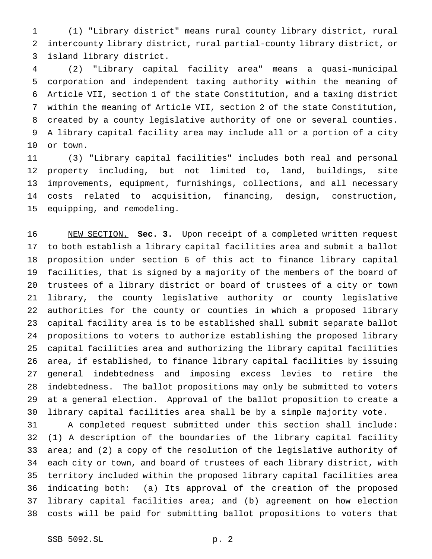(1) "Library district" means rural county library district, rural intercounty library district, rural partial-county library district, or island library district.

 (2) "Library capital facility area" means a quasi-municipal corporation and independent taxing authority within the meaning of Article VII, section 1 of the state Constitution, and a taxing district within the meaning of Article VII, section 2 of the state Constitution, created by a county legislative authority of one or several counties. A library capital facility area may include all or a portion of a city or town.

 (3) "Library capital facilities" includes both real and personal property including, but not limited to, land, buildings, site improvements, equipment, furnishings, collections, and all necessary costs related to acquisition, financing, design, construction, equipping, and remodeling.

 NEW SECTION. **Sec. 3.** Upon receipt of a completed written request to both establish a library capital facilities area and submit a ballot proposition under section 6 of this act to finance library capital facilities, that is signed by a majority of the members of the board of trustees of a library district or board of trustees of a city or town library, the county legislative authority or county legislative authorities for the county or counties in which a proposed library capital facility area is to be established shall submit separate ballot propositions to voters to authorize establishing the proposed library capital facilities area and authorizing the library capital facilities area, if established, to finance library capital facilities by issuing general indebtedness and imposing excess levies to retire the indebtedness. The ballot propositions may only be submitted to voters at a general election. Approval of the ballot proposition to create a library capital facilities area shall be by a simple majority vote.

 A completed request submitted under this section shall include: (1) A description of the boundaries of the library capital facility area; and (2) a copy of the resolution of the legislative authority of each city or town, and board of trustees of each library district, with territory included within the proposed library capital facilities area indicating both: (a) Its approval of the creation of the proposed library capital facilities area; and (b) agreement on how election costs will be paid for submitting ballot propositions to voters that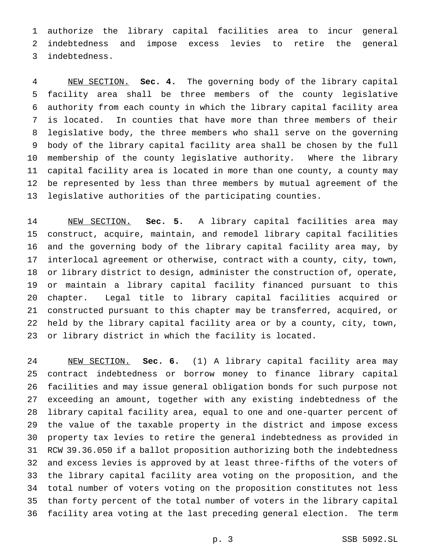authorize the library capital facilities area to incur general indebtedness and impose excess levies to retire the general indebtedness.

 NEW SECTION. **Sec. 4.** The governing body of the library capital facility area shall be three members of the county legislative authority from each county in which the library capital facility area is located. In counties that have more than three members of their legislative body, the three members who shall serve on the governing body of the library capital facility area shall be chosen by the full membership of the county legislative authority. Where the library capital facility area is located in more than one county, a county may be represented by less than three members by mutual agreement of the legislative authorities of the participating counties.

 NEW SECTION. **Sec. 5.** A library capital facilities area may construct, acquire, maintain, and remodel library capital facilities and the governing body of the library capital facility area may, by interlocal agreement or otherwise, contract with a county, city, town, or library district to design, administer the construction of, operate, or maintain a library capital facility financed pursuant to this chapter. Legal title to library capital facilities acquired or constructed pursuant to this chapter may be transferred, acquired, or held by the library capital facility area or by a county, city, town, or library district in which the facility is located.

 NEW SECTION. **Sec. 6.** (1) A library capital facility area may contract indebtedness or borrow money to finance library capital facilities and may issue general obligation bonds for such purpose not exceeding an amount, together with any existing indebtedness of the library capital facility area, equal to one and one-quarter percent of the value of the taxable property in the district and impose excess property tax levies to retire the general indebtedness as provided in RCW 39.36.050 if a ballot proposition authorizing both the indebtedness and excess levies is approved by at least three-fifths of the voters of the library capital facility area voting on the proposition, and the total number of voters voting on the proposition constitutes not less than forty percent of the total number of voters in the library capital facility area voting at the last preceding general election. The term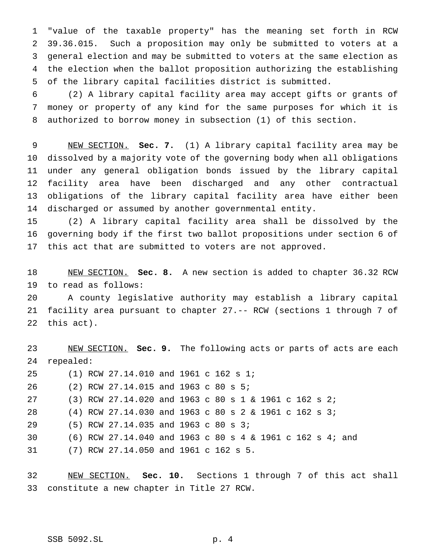"value of the taxable property" has the meaning set forth in RCW 39.36.015. Such a proposition may only be submitted to voters at a general election and may be submitted to voters at the same election as the election when the ballot proposition authorizing the establishing of the library capital facilities district is submitted.

 (2) A library capital facility area may accept gifts or grants of money or property of any kind for the same purposes for which it is authorized to borrow money in subsection (1) of this section.

 NEW SECTION. **Sec. 7.** (1) A library capital facility area may be dissolved by a majority vote of the governing body when all obligations under any general obligation bonds issued by the library capital facility area have been discharged and any other contractual obligations of the library capital facility area have either been discharged or assumed by another governmental entity.

 (2) A library capital facility area shall be dissolved by the governing body if the first two ballot propositions under section 6 of this act that are submitted to voters are not approved.

 NEW SECTION. **Sec. 8.** A new section is added to chapter 36.32 RCW to read as follows:

 A county legislative authority may establish a library capital facility area pursuant to chapter 27.-- RCW (sections 1 through 7 of this act).

 NEW SECTION. **Sec. 9.** The following acts or parts of acts are each repealed: (1) RCW 27.14.010 and 1961 c 162 s 1; (2) RCW 27.14.015 and 1963 c 80 s 5; (3) RCW 27.14.020 and 1963 c 80s1& 1961 c 162 s 2; (4) RCW 27.14.030 and 1963 c 80s2& 1961 c 162 s 3; (5) RCW 27.14.035 and 1963 c 80 s 3; (6) RCW 27.14.040 and 1963 c 80s4& 1961 c 162 s 4; and (7) RCW 27.14.050 and 1961 c 162 s 5.

 NEW SECTION. **Sec. 10.** Sections 1 through 7 of this act shall constitute a new chapter in Title 27 RCW.